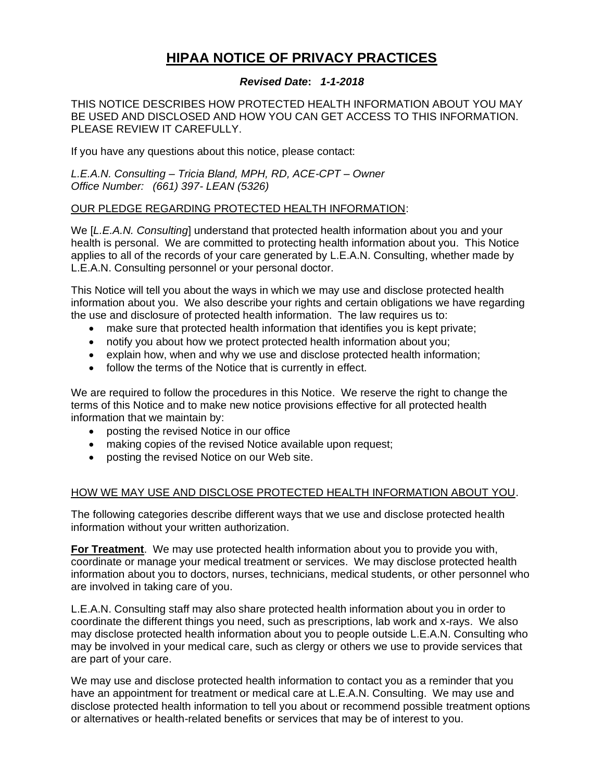# **HIPAA NOTICE OF PRIVACY PRACTICES**

## *Revised Date***:** *1-1-2018*

THIS NOTICE DESCRIBES HOW PROTECTED HEALTH INFORMATION ABOUT YOU MAY BE USED AND DISCLOSED AND HOW YOU CAN GET ACCESS TO THIS INFORMATION. PLEASE REVIEW IT CAREFULLY.

If you have any questions about this notice, please contact:

*L.E.A.N. Consulting – Tricia Bland, MPH, RD, ACE-CPT – Owner Office Number: (661) 397- LEAN (5326)* 

#### OUR PLEDGE REGARDING PROTECTED HEALTH INFORMATION:

We [*L.E.A.N. Consulting*] understand that protected health information about you and your health is personal. We are committed to protecting health information about you. This Notice applies to all of the records of your care generated by L.E.A.N. Consulting, whether made by L.E.A.N. Consulting personnel or your personal doctor.

This Notice will tell you about the ways in which we may use and disclose protected health information about you. We also describe your rights and certain obligations we have regarding the use and disclosure of protected health information. The law requires us to:

- make sure that protected health information that identifies you is kept private;
- notify you about how we protect protected health information about you;
- explain how, when and why we use and disclose protected health information;
- follow the terms of the Notice that is currently in effect.

We are required to follow the procedures in this Notice. We reserve the right to change the terms of this Notice and to make new notice provisions effective for all protected health information that we maintain by:

- posting the revised Notice in our office
- making copies of the revised Notice available upon request;
- posting the revised Notice on our Web site.

## HOW WE MAY USE AND DISCLOSE PROTECTED HEALTH INFORMATION ABOUT YOU.

The following categories describe different ways that we use and disclose protected health information without your written authorization.

**For Treatment**. We may use protected health information about you to provide you with, coordinate or manage your medical treatment or services. We may disclose protected health information about you to doctors, nurses, technicians, medical students, or other personnel who are involved in taking care of you.

L.E.A.N. Consulting staff may also share protected health information about you in order to coordinate the different things you need, such as prescriptions, lab work and x-rays. We also may disclose protected health information about you to people outside L.E.A.N. Consulting who may be involved in your medical care, such as clergy or others we use to provide services that are part of your care.

We may use and disclose protected health information to contact you as a reminder that you have an appointment for treatment or medical care at L.E.A.N. Consulting. We may use and disclose protected health information to tell you about or recommend possible treatment options or alternatives or health-related benefits or services that may be of interest to you.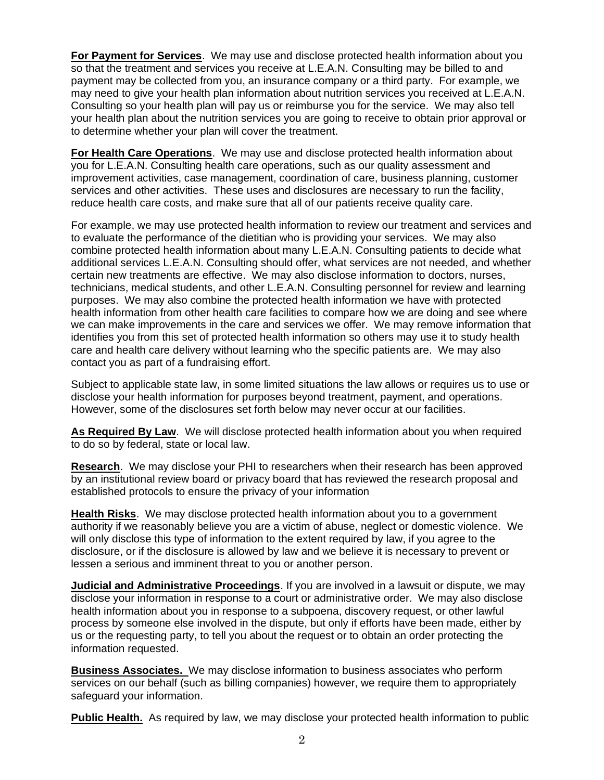**For Payment for Services**. We may use and disclose protected health information about you so that the treatment and services you receive at L.E.A.N. Consulting may be billed to and payment may be collected from you, an insurance company or a third party. For example, we may need to give your health plan information about nutrition services you received at L.E.A.N. Consulting so your health plan will pay us or reimburse you for the service. We may also tell your health plan about the nutrition services you are going to receive to obtain prior approval or to determine whether your plan will cover the treatment.

**For Health Care Operations**. We may use and disclose protected health information about you for L.E.A.N. Consulting health care operations, such as our quality assessment and improvement activities, case management, coordination of care, business planning, customer services and other activities. These uses and disclosures are necessary to run the facility, reduce health care costs, and make sure that all of our patients receive quality care.

For example, we may use protected health information to review our treatment and services and to evaluate the performance of the dietitian who is providing your services. We may also combine protected health information about many L.E.A.N. Consulting patients to decide what additional services L.E.A.N. Consulting should offer, what services are not needed, and whether certain new treatments are effective. We may also disclose information to doctors, nurses, technicians, medical students, and other L.E.A.N. Consulting personnel for review and learning purposes. We may also combine the protected health information we have with protected health information from other health care facilities to compare how we are doing and see where we can make improvements in the care and services we offer. We may remove information that identifies you from this set of protected health information so others may use it to study health care and health care delivery without learning who the specific patients are. We may also contact you as part of a fundraising effort.

Subject to applicable state law, in some limited situations the law allows or requires us to use or disclose your health information for purposes beyond treatment, payment, and operations. However, some of the disclosures set forth below may never occur at our facilities.

As Required By Law. We will disclose protected health information about you when required to do so by federal, state or local law.

**Research**. We may disclose your PHI to researchers when their research has been approved by an institutional review board or privacy board that has reviewed the research proposal and established protocols to ensure the privacy of your information

**Health Risks**. We may disclose protected health information about you to a government authority if we reasonably believe you are a victim of abuse, neglect or domestic violence. We will only disclose this type of information to the extent required by law, if you agree to the disclosure, or if the disclosure is allowed by law and we believe it is necessary to prevent or lessen a serious and imminent threat to you or another person.

**Judicial and Administrative Proceedings**. If you are involved in a lawsuit or dispute, we may disclose your information in response to a court or administrative order. We may also disclose health information about you in response to a subpoena, discovery request, or other lawful process by someone else involved in the dispute, but only if efforts have been made, either by us or the requesting party, to tell you about the request or to obtain an order protecting the information requested.

**Business Associates.** We may disclose information to business associates who perform services on our behalf (such as billing companies) however, we require them to appropriately safeguard your information.

**Public Health.** As required by law, we may disclose your protected health information to public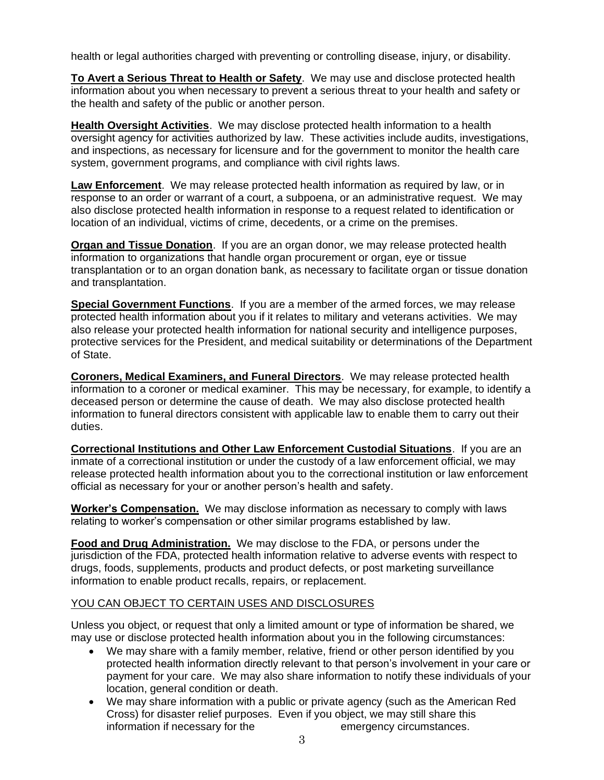health or legal authorities charged with preventing or controlling disease, injury, or disability.

**To Avert a Serious Threat to Health or Safety**. We may use and disclose protected health information about you when necessary to prevent a serious threat to your health and safety or the health and safety of the public or another person.

**Health Oversight Activities**. We may disclose protected health information to a health oversight agency for activities authorized by law. These activities include audits, investigations, and inspections, as necessary for licensure and for the government to monitor the health care system, government programs, and compliance with civil rights laws.

**Law Enforcement**. We may release protected health information as required by law, or in response to an order or warrant of a court, a subpoena, or an administrative request. We may also disclose protected health information in response to a request related to identification or location of an individual, victims of crime, decedents, or a crime on the premises.

**Organ and Tissue Donation**. If you are an organ donor, we may release protected health information to organizations that handle organ procurement or organ, eye or tissue transplantation or to an organ donation bank, as necessary to facilitate organ or tissue donation and transplantation.

**Special Government Functions**. If you are a member of the armed forces, we may release protected health information about you if it relates to military and veterans activities. We may also release your protected health information for national security and intelligence purposes, protective services for the President, and medical suitability or determinations of the Department of State.

**Coroners, Medical Examiners, and Funeral Directors**. We may release protected health information to a coroner or medical examiner. This may be necessary, for example, to identify a deceased person or determine the cause of death. We may also disclose protected health information to funeral directors consistent with applicable law to enable them to carry out their duties.

**Correctional Institutions and Other Law Enforcement Custodial Situations**. If you are an inmate of a correctional institution or under the custody of a law enforcement official, we may release protected health information about you to the correctional institution or law enforcement official as necessary for your or another person's health and safety.

**Worker's Compensation.** We may disclose information as necessary to comply with laws relating to worker's compensation or other similar programs established by law.

**Food and Drug Administration.** We may disclose to the FDA, or persons under the jurisdiction of the FDA, protected health information relative to adverse events with respect to drugs, foods, supplements, products and product defects, or post marketing surveillance information to enable product recalls, repairs, or replacement.

## YOU CAN OBJECT TO CERTAIN USES AND DISCLOSURES

Unless you object, or request that only a limited amount or type of information be shared, we may use or disclose protected health information about you in the following circumstances:

- We may share with a family member, relative, friend or other person identified by you protected health information directly relevant to that person's involvement in your care or payment for your care. We may also share information to notify these individuals of your location, general condition or death.
- We may share information with a public or private agency (such as the American Red Cross) for disaster relief purposes. Even if you object, we may still share this information if necessary for the emergency circumstances.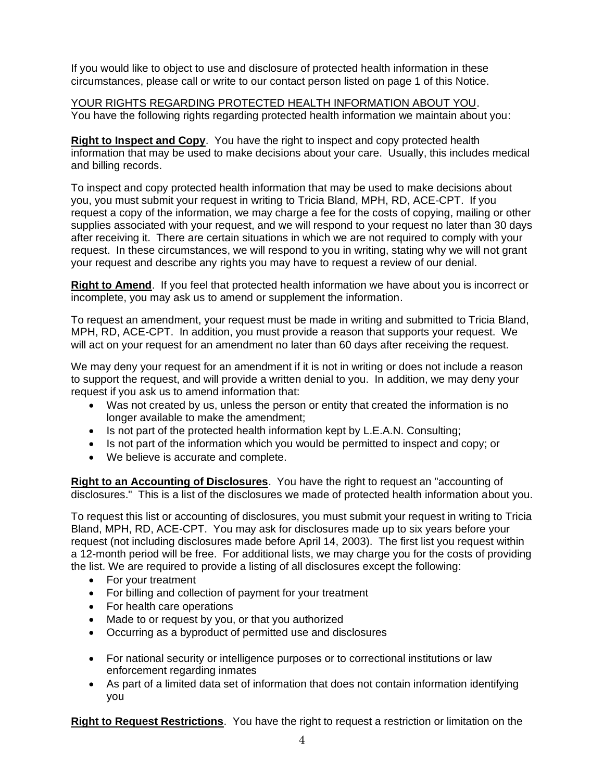If you would like to object to use and disclosure of protected health information in these circumstances, please call or write to our contact person listed on page 1 of this Notice.

YOUR RIGHTS REGARDING PROTECTED HEALTH INFORMATION ABOUT YOU. You have the following rights regarding protected health information we maintain about you:

**Right to Inspect and Copy**. You have the right to inspect and copy protected health information that may be used to make decisions about your care. Usually, this includes medical and billing records.

To inspect and copy protected health information that may be used to make decisions about you, you must submit your request in writing to Tricia Bland, MPH, RD, ACE-CPT. If you request a copy of the information, we may charge a fee for the costs of copying, mailing or other supplies associated with your request, and we will respond to your request no later than 30 days after receiving it. There are certain situations in which we are not required to comply with your request. In these circumstances, we will respond to you in writing, stating why we will not grant your request and describe any rights you may have to request a review of our denial.

**Right to Amend**. If you feel that protected health information we have about you is incorrect or incomplete, you may ask us to amend or supplement the information.

To request an amendment, your request must be made in writing and submitted to Tricia Bland, MPH, RD, ACE-CPT. In addition, you must provide a reason that supports your request. We will act on your request for an amendment no later than 60 days after receiving the request.

We may deny your request for an amendment if it is not in writing or does not include a reason to support the request, and will provide a written denial to you. In addition, we may deny your request if you ask us to amend information that:

- Was not created by us, unless the person or entity that created the information is no longer available to make the amendment;
- Is not part of the protected health information kept by L.E.A.N. Consulting;
- Is not part of the information which you would be permitted to inspect and copy; or
- We believe is accurate and complete.

**Right to an Accounting of Disclosures**. You have the right to request an "accounting of disclosures." This is a list of the disclosures we made of protected health information about you.

To request this list or accounting of disclosures, you must submit your request in writing to Tricia Bland, MPH, RD, ACE-CPT. You may ask for disclosures made up to six years before your request (not including disclosures made before April 14, 2003). The first list you request within a 12-month period will be free. For additional lists, we may charge you for the costs of providing the list. We are required to provide a listing of all disclosures except the following:

- For your treatment
- For billing and collection of payment for your treatment
- For health care operations
- Made to or request by you, or that you authorized
- Occurring as a byproduct of permitted use and disclosures
- For national security or intelligence purposes or to correctional institutions or law enforcement regarding inmates
- As part of a limited data set of information that does not contain information identifying you

**Right to Request Restrictions**. You have the right to request a restriction or limitation on the